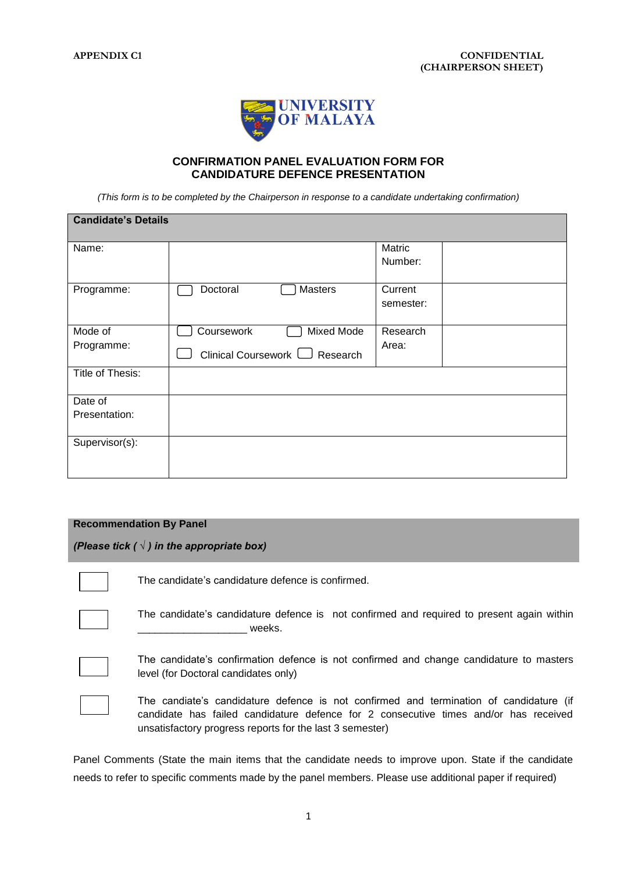

## **CONFIRMATION PANEL EVALUATION FORM FOR CANDIDATURE DEFENCE PRESENTATION**

*(This form is to be completed by the Chairperson in response to a candidate undertaking confirmation)*

| <b>Candidate's Details</b> |                                     |           |  |  |  |  |
|----------------------------|-------------------------------------|-----------|--|--|--|--|
| Name:                      |                                     | Matric    |  |  |  |  |
|                            |                                     | Number:   |  |  |  |  |
| Programme:                 | Doctoral<br>Masters                 | Current   |  |  |  |  |
|                            |                                     | semester: |  |  |  |  |
| Mode of                    | Coursework<br><b>Mixed Mode</b>     | Research  |  |  |  |  |
| Programme:                 | Clinical Coursework $\Box$ Research | Area:     |  |  |  |  |
| Title of Thesis:           |                                     |           |  |  |  |  |
| Date of                    |                                     |           |  |  |  |  |
| Presentation:              |                                     |           |  |  |  |  |
| Supervisor(s):             |                                     |           |  |  |  |  |
|                            |                                     |           |  |  |  |  |

## **Recommendation By Panel**

*(Please tick ( √ ) in the appropriate box)*

The candidate's candidature defence is confirmed.

\_\_\_\_\_\_\_\_\_\_\_\_\_\_\_\_\_\_\_ weeks.

The candidate's confirmation defence is not confirmed and change candidature to masters level (for Doctoral candidates only)

The candidate's candidature defence is not confirmed and required to present again within



The candiate's candidature defence is not confirmed and termination of candidature (if candidate has failed candidature defence for 2 consecutive times and/or has received unsatisfactory progress reports for the last 3 semester)

Panel Comments (State the main items that the candidate needs to improve upon. State if the candidate needs to refer to specific comments made by the panel members. Please use additional paper if required)